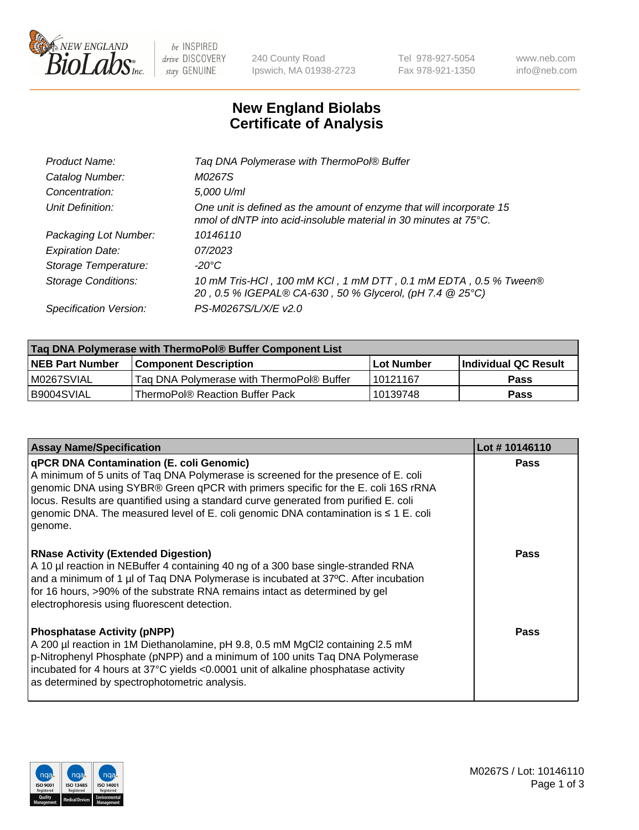

 $be$  INSPIRED drive DISCOVERY stay GENUINE

240 County Road Ipswich, MA 01938-2723 Tel 978-927-5054 Fax 978-921-1350 www.neb.com info@neb.com

## **New England Biolabs Certificate of Analysis**

| Tag DNA Polymerase with ThermoPol® Buffer                                                                                                |
|------------------------------------------------------------------------------------------------------------------------------------------|
| M0267S                                                                                                                                   |
| 5,000 U/ml                                                                                                                               |
| One unit is defined as the amount of enzyme that will incorporate 15<br>nmol of dNTP into acid-insoluble material in 30 minutes at 75°C. |
| 10146110                                                                                                                                 |
| 07/2023                                                                                                                                  |
| $-20^{\circ}$ C                                                                                                                          |
| 10 mM Tris-HCl, 100 mM KCl, 1 mM DTT, 0.1 mM EDTA, 0.5 % Tween®<br>20, 0.5 % IGEPAL® CA-630, 50 % Glycerol, (pH 7.4 @ 25°C)              |
| PS-M0267S/L/X/E v2.0                                                                                                                     |
|                                                                                                                                          |

| Tag DNA Polymerase with ThermoPol® Buffer Component List |                                           |                   |                      |  |
|----------------------------------------------------------|-------------------------------------------|-------------------|----------------------|--|
| <b>NEB Part Number</b>                                   | <b>Component Description</b>              | <b>Lot Number</b> | Individual QC Result |  |
| M0267SVIAL                                               | Tag DNA Polymerase with ThermoPol® Buffer | 10121167          | <b>Pass</b>          |  |
| B9004SVIAL                                               | ThermoPol® Reaction Buffer Pack           | 10139748          | Pass                 |  |

| <b>Assay Name/Specification</b>                                                                                                                                                                                                                                                                                                                                                                                    | Lot #10146110 |
|--------------------------------------------------------------------------------------------------------------------------------------------------------------------------------------------------------------------------------------------------------------------------------------------------------------------------------------------------------------------------------------------------------------------|---------------|
| qPCR DNA Contamination (E. coli Genomic)<br>A minimum of 5 units of Taq DNA Polymerase is screened for the presence of E. coli<br>genomic DNA using SYBR® Green qPCR with primers specific for the E. coli 16S rRNA<br>locus. Results are quantified using a standard curve generated from purified E. coli<br>genomic DNA. The measured level of E. coli genomic DNA contamination is $\leq 1$ E. coli<br>genome. | <b>Pass</b>   |
| <b>RNase Activity (Extended Digestion)</b><br>A 10 µl reaction in NEBuffer 4 containing 40 ng of a 300 base single-stranded RNA<br>and a minimum of 1 µl of Taq DNA Polymerase is incubated at 37°C. After incubation<br>for 16 hours, >90% of the substrate RNA remains intact as determined by gel<br>electrophoresis using fluorescent detection.                                                               | <b>Pass</b>   |
| <b>Phosphatase Activity (pNPP)</b><br>A 200 µl reaction in 1M Diethanolamine, pH 9.8, 0.5 mM MgCl2 containing 2.5 mM<br>p-Nitrophenyl Phosphate (pNPP) and a minimum of 100 units Taq DNA Polymerase<br>incubated for 4 hours at 37°C yields <0.0001 unit of alkaline phosphatase activity<br>as determined by spectrophotometric analysis.                                                                        | <b>Pass</b>   |

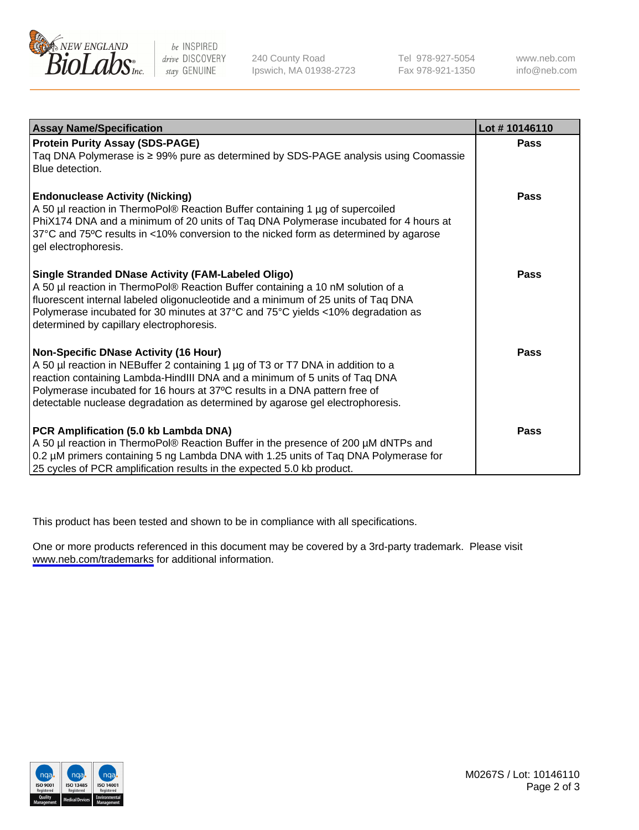

be INSPIRED drive DISCOVERY stay GENUINE

240 County Road Ipswich, MA 01938-2723 Tel 978-927-5054 Fax 978-921-1350

www.neb.com info@neb.com

| <b>Assay Name/Specification</b>                                                                                                                                                                                                                                                                                                                                              | Lot #10146110 |
|------------------------------------------------------------------------------------------------------------------------------------------------------------------------------------------------------------------------------------------------------------------------------------------------------------------------------------------------------------------------------|---------------|
| <b>Protein Purity Assay (SDS-PAGE)</b><br>Taq DNA Polymerase is ≥ 99% pure as determined by SDS-PAGE analysis using Coomassie<br>Blue detection.                                                                                                                                                                                                                             | Pass          |
| <b>Endonuclease Activity (Nicking)</b><br>A 50 µl reaction in ThermoPol® Reaction Buffer containing 1 µg of supercoiled<br>PhiX174 DNA and a minimum of 20 units of Taq DNA Polymerase incubated for 4 hours at<br>37°C and 75°C results in <10% conversion to the nicked form as determined by agarose<br>gel electrophoresis.                                              | Pass          |
| <b>Single Stranded DNase Activity (FAM-Labeled Oligo)</b><br>A 50 µl reaction in ThermoPol® Reaction Buffer containing a 10 nM solution of a<br>fluorescent internal labeled oligonucleotide and a minimum of 25 units of Taq DNA<br>Polymerase incubated for 30 minutes at 37°C and 75°C yields <10% degradation as<br>determined by capillary electrophoresis.             | Pass          |
| <b>Non-Specific DNase Activity (16 Hour)</b><br>A 50 µl reaction in NEBuffer 2 containing 1 µg of T3 or T7 DNA in addition to a<br>reaction containing Lambda-HindIII DNA and a minimum of 5 units of Taq DNA<br>Polymerase incubated for 16 hours at 37°C results in a DNA pattern free of<br>detectable nuclease degradation as determined by agarose gel electrophoresis. | <b>Pass</b>   |
| PCR Amplification (5.0 kb Lambda DNA)<br>A 50 µl reaction in ThermoPol® Reaction Buffer in the presence of 200 µM dNTPs and<br>0.2 µM primers containing 5 ng Lambda DNA with 1.25 units of Taq DNA Polymerase for<br>25 cycles of PCR amplification results in the expected 5.0 kb product.                                                                                 | Pass          |

This product has been tested and shown to be in compliance with all specifications.

One or more products referenced in this document may be covered by a 3rd-party trademark. Please visit <www.neb.com/trademarks>for additional information.